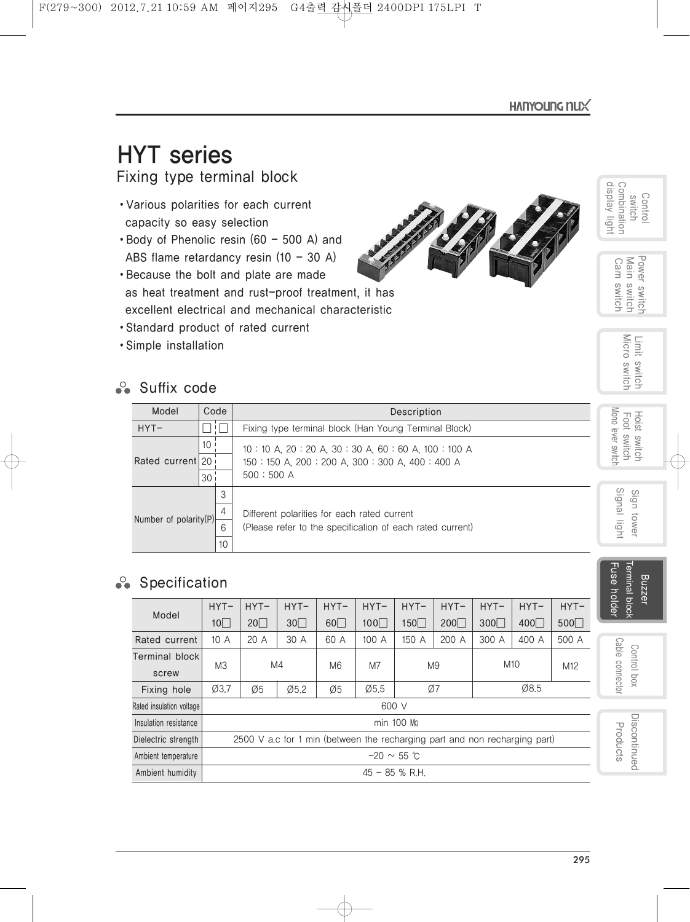display light Combination

Control<br>switch<br>Combination<br>display light

# HYT series

Fixing type terminal block

- •Various polarities for each current capacity so easy selection
- Body of Phenolic resin (60 500 A) and ABS flame retardancy resin  $(10 - 30 A)$
- •Because the bolt and plate are made as heat treatment and rust-proof treatment, it has excellent electrical and mechanical characteristic
- •Standard product of rated current
- •Simple installation

# **Suffix code**

| arious polarities for each current<br>apacity so easy selection<br>Body of Phenolic resin $(60 - 500 A)$ and                                                                             |                           |              |                                                                                                          |                          |                |                              |               |               |               |                                | play light<br>mbination<br>Control<br>switch     |
|------------------------------------------------------------------------------------------------------------------------------------------------------------------------------------------|---------------------------|--------------|----------------------------------------------------------------------------------------------------------|--------------------------|----------------|------------------------------|---------------|---------------|---------------|--------------------------------|--------------------------------------------------|
| ABS flame retardancy resin (10 - 30 A)<br>Because the bolt and plate are made<br>is heat treatment and rust-proof treatment, it has<br>xcellent electrical and mechanical characteristic |                           |              |                                                                                                          |                          |                |                              |               |               |               |                                | Power switch<br>Main switch<br>Cam<br>switch     |
| Standard product of rated current<br>Simple installation<br>Suffix code                                                                                                                  |                           |              |                                                                                                          |                          |                |                              |               |               |               |                                | Limit switch<br>Micro switch                     |
| Model                                                                                                                                                                                    | Code                      |              |                                                                                                          |                          |                | Description                  |               |               |               |                                |                                                  |
| $HYT-$                                                                                                                                                                                   | П!                        |              | Fixing type terminal block (Han Young Terminal Block)                                                    |                          |                |                              |               |               |               |                                |                                                  |
| Rated current 20                                                                                                                                                                         | 10 <sup>1</sup><br>30     | 500:500 A    | 10:10 A, 20:20 A, 30:30 A, 60:60 A, 100:100 A<br>150: 150 A, 200: 200 A, 300: 300 A, 400: 400 A          |                          |                |                              |               |               |               |                                | Mono lever switch<br>Hoist switch<br>Foot switch |
| Number of polarity(P)                                                                                                                                                                    | 3<br>4<br>6<br>10         |              | Different polarities for each rated current<br>(Please refer to the specification of each rated current) |                          |                |                              |               |               |               |                                |                                                  |
| Specification                                                                                                                                                                            |                           |              |                                                                                                          |                          |                |                              |               |               |               |                                | Terminal block<br>Fuse holder<br>Buzzer          |
| Model                                                                                                                                                                                    | $HYT-$<br>10 <sup>7</sup> | $HYT-$<br>20 | $HYT-$<br>30                                                                                             | $HYT-$<br>$60\Box$       | $HYT-$<br>100□ | $HYT-$<br>150□               | $HYT-$<br>200 | $HYT-$<br>300 | $HYT-$<br>400 | $HYT-$<br>500□                 |                                                  |
| Rated current                                                                                                                                                                            | 10A                       | 20 A         | 30 A                                                                                                     | 60 A                     | 100 A          | 150 A                        | 200 A         | 300 A         | 400 A         | 500 A                          |                                                  |
| <b>Terminal block</b><br>screw                                                                                                                                                           | M <sub>3</sub>            |              | M4                                                                                                       | M <sub>6</sub>           | M7             | M10<br>M <sub>9</sub><br>M12 |               |               |               | Cable connector<br>Control box |                                                  |
| Fixing hole                                                                                                                                                                              | Ø3.7                      | Ø5           | Ø5.2                                                                                                     | Ø8.5<br>Ø5.5<br>Ø7<br>Ø5 |                |                              |               |               |               |                                |                                                  |

# $\cdot$  Specification

| Model                    | $HYT-$ | $HYT-$           | $HYT-$ | $HYT-$         | $HYT-$                                                                     | $HYT-$         | $HYT-$    | $HYT-$          | $HYT-$ | $HYT-$          |
|--------------------------|--------|------------------|--------|----------------|----------------------------------------------------------------------------|----------------|-----------|-----------------|--------|-----------------|
|                          | 10     | 20               | 30     | 60             | 100                                                                        | 150            | $200\Box$ | 300             | 400    | 500             |
| Rated current            | 10A    | 20A              | 30 A   | 60 A           | 100 A                                                                      | 150 A          | 200 A     | 300 A           | 400 A  | 500 A           |
| Terminal block<br>screw  | MЗ     | M4               |        | M <sub>6</sub> | M7                                                                         | M <sub>9</sub> |           | M <sub>10</sub> |        | M <sub>12</sub> |
| Fixing hole              | Ø3.7   | Ø5               | Ø5.2   | Ø5             | $\emptyset$ 5.5                                                            | Ø7             |           | Ø8.5            |        |                 |
| Rated insulation voltage |        |                  |        |                | 600 V                                                                      |                |           |                 |        |                 |
| Insulation resistance    |        |                  |        |                |                                                                            | min 100 Mo     |           |                 |        |                 |
| Dielectric strength      |        |                  |        |                | 2500 V a.c for 1 min (between the recharging part and non recharging part) |                |           |                 |        |                 |
| Ambient temperature      |        | $-20 \sim 55$ °C |        |                |                                                                            |                |           |                 |        |                 |
| Ambient humidity         |        |                  |        |                | $45 - 85$ % R.H.                                                           |                |           |                 |        |                 |

295

> Discontinued Products

Discontinued Products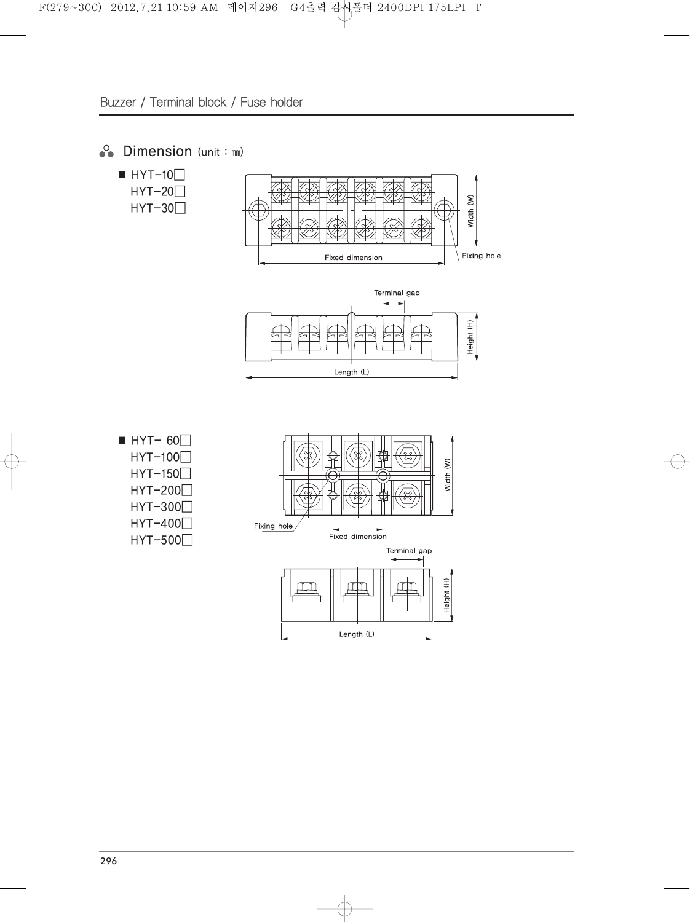## ◆ Dimension (unit : mm)





- $\blacksquare$  HYT- 60 $\Box$  $HYT-100$ HYT-150□
	- HYT-200□
	- HYT-300□
	- HYT-400□
	- HYT-500□

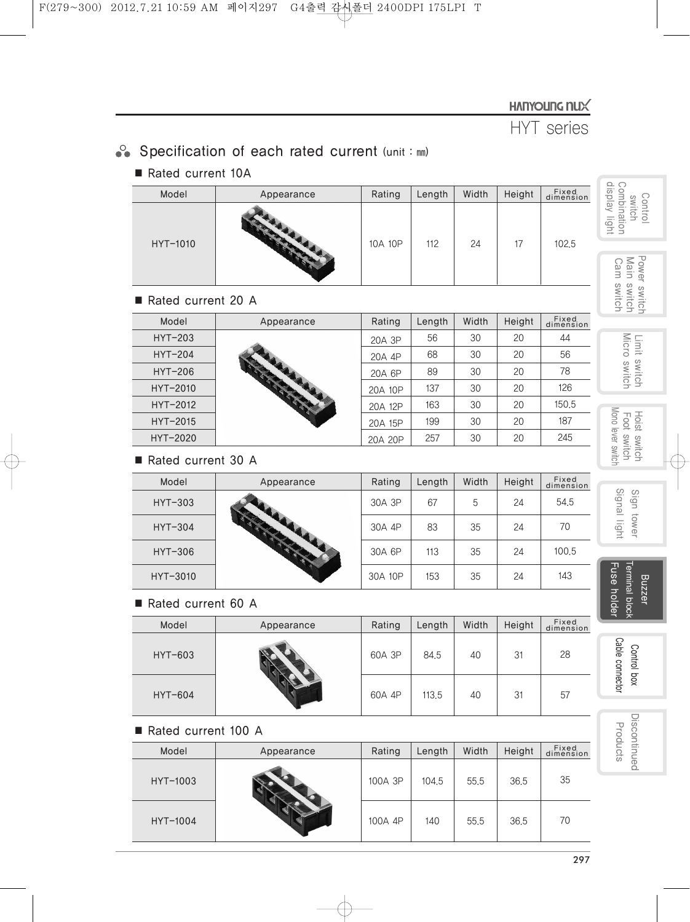## HANYOUNG NUX

HYT series

# Specification of each rated current (unit : mm)

### ■ Rated current 10A

| Model    | Appearance | Rating  | Length | Width | Height | Fixed<br>dimension |
|----------|------------|---------|--------|-------|--------|--------------------|
| HYT-1010 |            | 10A 10P | 112    | 24    | 17     | 102,5              |

#### ■ Rated current 20 A

| Model     | Appearance | Rating  | Length | Width | Height | Fixed<br>dimension |
|-----------|------------|---------|--------|-------|--------|--------------------|
| HYT-203   |            | 20A 3P  | 56     | 30    | 20     | 44                 |
| $HYT-204$ |            | 20A 4P  | 68     | 30    | 20     | 56                 |
| $HYT-206$ |            | 20A 6P  | 89     | 30    | 20     | 78                 |
| HYT-2010  |            | 20A 10P | 137    | 30    | 20     | 126                |
| HYT-2012  |            | 20A 12P | 163    | 30    | 20     | 150.5              |
| HYT-2015  |            | 20A 15P | 199    | 30    | 20     | 187                |
| HYT-2020  |            | 20A 20P | 257    | 30    | 20     | 245                |

#### ■ Rated current 30 A

| Model    | Appearance | Rating  | Length | Width | Height | Fixed<br>dimension |
|----------|------------|---------|--------|-------|--------|--------------------|
| HYT-303  |            | 30A 3P  | 67     | 5     | 24     | 54.5               |
| HYT-304  |            | 30A 4P  | 83     | 35    | 24     | 70                 |
| HYT-306  |            | 30A 6P  | 113    | 35    | 24     | 100.5              |
| HYT-3010 |            | 30A 10P | 153    | 35    | 24     | 143                |

#### ■ Rated current 60 A

| Model   | Appearance | Rating | Length | Width | Height | Fixed<br>dimension |
|---------|------------|--------|--------|-------|--------|--------------------|
| HYT-603 |            | 60A 3P | 84.5   | 40    | 31     | 28                 |
| HYT-604 |            | 60A 4P | 113.5  | 40    | 31     | 57                 |

#### ■ Rated current 100 A

| Model    | Appearance | Rating  | Length | Width | Height | Fixed<br>dimension |
|----------|------------|---------|--------|-------|--------|--------------------|
| HYT-1003 |            | 100A 3P | 104.5  | 55.5  | 36.5   | 35                 |
| HYT-1004 |            | 100A 4P | 140    | 55.5  | 36.5   | 70                 |

Control<br>switch<br>Combination<br>display light display light Combination

Gontrol Power switch Hoist switch<br>Control Marie Switch Limit switch<br>Switch Power switch<br>Main switch<br>Cam switch Power switch Main switch Cam switch

Limit switch<br>Micro switch Micro switch Limit switch

Mono lever switch Hoist switch<br>Foot switch Mono lever switch Foot switch

> Signal light Sign tower Sign tower

Cable connector Signal light strip strips connector Terminal block Terminal block Fuse Buzzer holder

Cable connector Control box Control box

Discontinued Discontinued Products Products